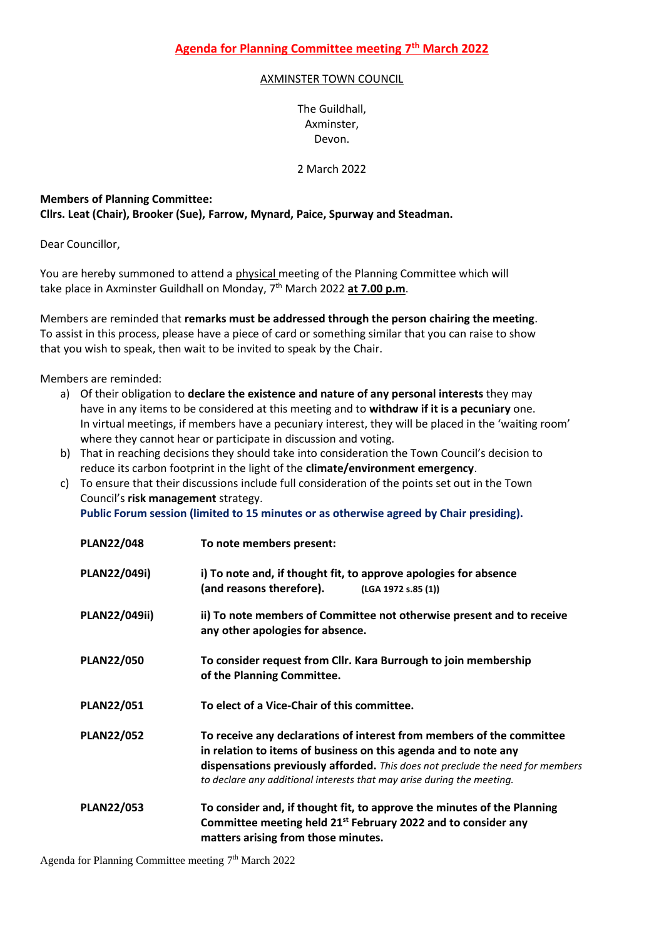## AXMINSTER TOWN COUNCIL

The Guildhall, Axminster, Devon.

2 March 2022

## **Members of Planning Committee: Cllrs. Leat (Chair), Brooker (Sue), Farrow, Mynard, Paice, Spurway and Steadman.**

Dear Councillor,

You are hereby summoned to attend a physical meeting of the Planning Committee which will take place in Axminster Guildhall on Monday, 7 th March 2022 **at 7.00 p.m**.

Members are reminded that **remarks must be addressed through the person chairing the meeting**. To assist in this process, please have a piece of card or something similar that you can raise to show that you wish to speak, then wait to be invited to speak by the Chair.

Members are reminded:

- a) Of their obligation to **declare the existence and nature of any personal interests** they may have in any items to be considered at this meeting and to **withdraw if it is a pecuniary** one. In virtual meetings, if members have a pecuniary interest, they will be placed in the 'waiting room' where they cannot hear or participate in discussion and voting.
- b) That in reaching decisions they should take into consideration the Town Council's decision to reduce its carbon footprint in the light of the **climate/environment emergency**.
- c) To ensure that their discussions include full consideration of the points set out in the Town Council's **risk management** strategy.

| Public Forum session (limited to 15 minutes or as otherwise agreed by Chair presiding). |  |  |
|-----------------------------------------------------------------------------------------|--|--|
|-----------------------------------------------------------------------------------------|--|--|

| <b>PLAN22/048</b>    | To note members present:                                                                                                                                                                                                                                                                             |
|----------------------|------------------------------------------------------------------------------------------------------------------------------------------------------------------------------------------------------------------------------------------------------------------------------------------------------|
| PLAN22/049i)         | i) To note and, if thought fit, to approve apologies for absence<br>(and reasons therefore).<br>(LGA 1972 s.85 (1))                                                                                                                                                                                  |
| <b>PLAN22/049ii)</b> | ii) To note members of Committee not otherwise present and to receive<br>any other apologies for absence.                                                                                                                                                                                            |
| <b>PLAN22/050</b>    | To consider request from Cllr. Kara Burrough to join membership<br>of the Planning Committee.                                                                                                                                                                                                        |
| <b>PLAN22/051</b>    | To elect of a Vice-Chair of this committee.                                                                                                                                                                                                                                                          |
| <b>PLAN22/052</b>    | To receive any declarations of interest from members of the committee<br>in relation to items of business on this agenda and to note any<br>dispensations previously afforded. This does not preclude the need for members<br>to declare any additional interests that may arise during the meeting. |
| <b>PLAN22/053</b>    | To consider and, if thought fit, to approve the minutes of the Planning<br>Committee meeting held 21 <sup>st</sup> February 2022 and to consider any<br>matters arising from those minutes.                                                                                                          |

Agenda for Planning Committee meeting 7<sup>th</sup> March 2022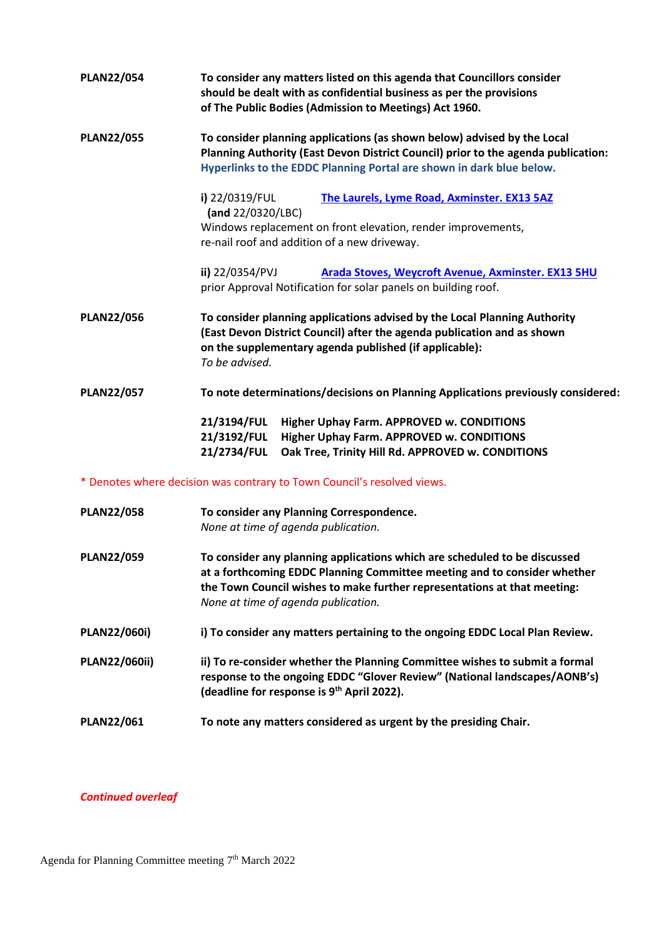| <b>PLAN22/054</b>                                                       | To consider any matters listed on this agenda that Councillors consider<br>should be dealt with as confidential business as per the provisions<br>of The Public Bodies (Admission to Meetings) Act 1960.                                                                 |  |
|-------------------------------------------------------------------------|--------------------------------------------------------------------------------------------------------------------------------------------------------------------------------------------------------------------------------------------------------------------------|--|
| <b>PLAN22/055</b>                                                       | To consider planning applications (as shown below) advised by the Local<br>Planning Authority (East Devon District Council) prior to the agenda publication:<br>Hyperlinks to the EDDC Planning Portal are shown in dark blue below.                                     |  |
|                                                                         | i) 22/0319/FUL<br>The Laurels, Lyme Road, Axminster. EX13 5AZ<br>(and 22/0320/LBC)<br>Windows replacement on front elevation, render improvements,                                                                                                                       |  |
|                                                                         | re-nail roof and addition of a new driveway.                                                                                                                                                                                                                             |  |
|                                                                         | ii) 22/0354/PVJ<br><b>Arada Stoves, Weycroft Avenue, Axminster. EX13 5HU</b><br>prior Approval Notification for solar panels on building roof.                                                                                                                           |  |
| <b>PLAN22/056</b>                                                       | To consider planning applications advised by the Local Planning Authority<br>(East Devon District Council) after the agenda publication and as shown<br>on the supplementary agenda published (if applicable):<br>To be advised.                                         |  |
| <b>PLAN22/057</b>                                                       | To note determinations/decisions on Planning Applications previously considered:                                                                                                                                                                                         |  |
|                                                                         | 21/3194/FUL<br>Higher Uphay Farm. APPROVED w. CONDITIONS<br>21/3192/FUL<br>Higher Uphay Farm. APPROVED w. CONDITIONS<br>21/2734/FUL<br>Oak Tree, Trinity Hill Rd. APPROVED w. CONDITIONS                                                                                 |  |
| * Denotes where decision was contrary to Town Council's resolved views. |                                                                                                                                                                                                                                                                          |  |
| <b>PLAN22/058</b>                                                       | To consider any Planning Correspondence.<br>None at time of agenda publication.                                                                                                                                                                                          |  |
| <b>PLAN22/059</b>                                                       | To consider any planning applications which are scheduled to be discussed<br>at a forthcoming EDDC Planning Committee meeting and to consider whether<br>the Town Council wishes to make further representations at that meeting:<br>None at time of agenda publication. |  |
| <b>PLAN22/060i)</b>                                                     | i) To consider any matters pertaining to the ongoing EDDC Local Plan Review.                                                                                                                                                                                             |  |
| <b>PLAN22/060ii)</b>                                                    | ii) To re-consider whether the Planning Committee wishes to submit a formal<br>response to the ongoing EDDC "Glover Review" (National landscapes/AONB's)<br>(deadline for response is 9 <sup>th</sup> April 2022).                                                       |  |
| <b>PLAN22/061</b>                                                       | To note any matters considered as urgent by the presiding Chair.                                                                                                                                                                                                         |  |

## *Continued overleaf*